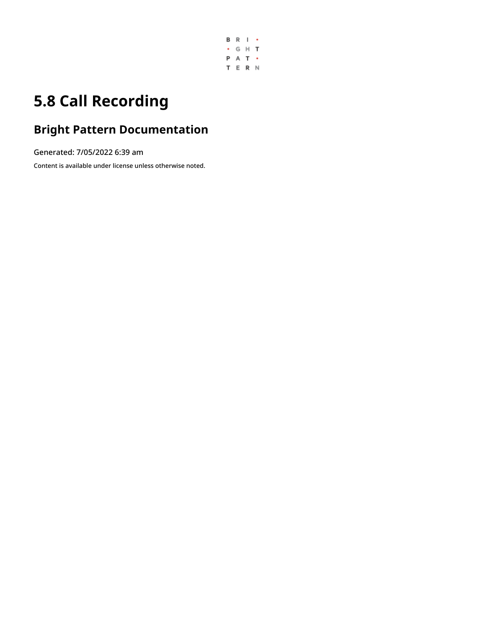

# **5.8 Call Recording**

# **Bright Pattern Documentation**

Generated: 7/05/2022 6:39 am

Content is available under license unless otherwise noted.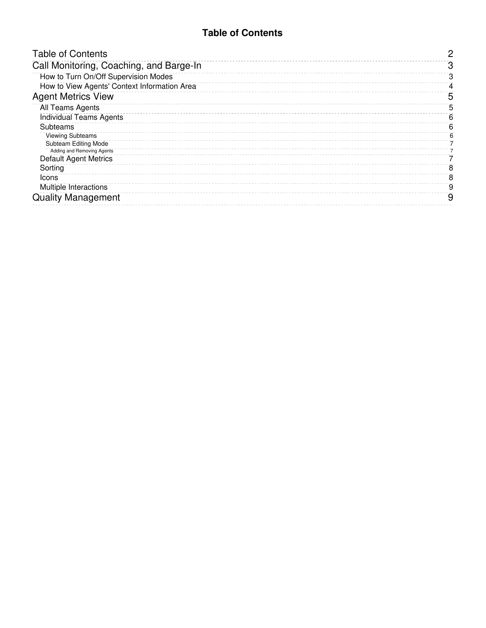## **Table of Contents**

<span id="page-1-0"></span>

| <b>Table of Contents</b>                     | 0 |
|----------------------------------------------|---|
| Call Monitoring, Coaching, and Barge-In      | З |
| How to Turn On/Off Supervision Modes         |   |
| How to View Agents' Context Information Area |   |
| <b>Agent Metrics View</b>                    | 5 |
| All Teams Agents                             | 5 |
| <b>Individual Teams Agents</b>               | 6 |
| Subteams                                     | 6 |
| <b>Viewing Subteams</b>                      | 6 |
| <b>Subteam Editing Mode</b>                  |   |
| Adding and Removing Agents                   |   |
| <b>Default Agent Metrics</b>                 |   |
| Sorting                                      | 8 |
| Icons                                        | 8 |
| Multiple Interactions                        | 9 |
| <b>Quality Management</b>                    | 9 |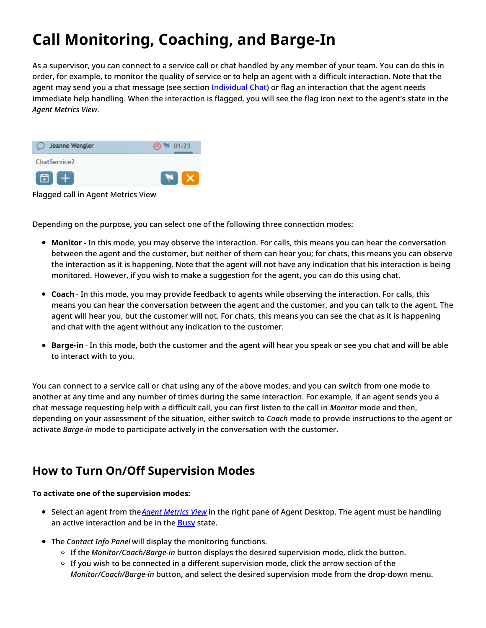# <span id="page-2-0"></span>**Call Monitoring, Coaching, and Barge-In**

As a supervisor, you can connect to a service call or chat handled by any member of your team. You can do this in order, for example, to monitor the quality of service or to help an agent with a difficult interaction. Note that the agent may send you a chat message (see section [Individual](https://help.brightpattern.com/5.8:Supervisor-guide/CallRecording/?action=html-localimages-export#topic_supervisor-guide.2Findividualchat) Chat) or flag an interaction that the agent needs immediate help handling. When the interaction is flagged, you will see the flag icon next to the agent's state in the *Agent Metrics View*.



Flagged call in Agent Metrics View

Depending on the purpose, you can select one of the following three connection modes:

- **Monitor** In this mode, you may observe the interaction. For calls, this means you can hear the conversation between the agent and the customer, but neither of them can hear you; for chats, this means you can observe the interaction as it is happening. Note that the agent will not have any indication that his interaction is being monitored. However, if you wish to make a suggestion for the agent, you can do this using chat.
- **Coach** In this mode, you may provide feedback to agents while observing the interaction. For calls, this means you can hear the conversation between the agent and the customer, and you can talk to the agent. The agent will hear you, but the customer will not. For chats, this means you can see the chat as it is happening and chat with the agent without any indication to the customer.
- **Barge-in** In this mode, both the customer and the agent will hear you speak or see you chat and will be able to interact with to you.

You can connect to a service call or chat using any of the above modes, and you can switch from one mode to another at any time and any number of times during the same interaction. For example, if an agent sends you a chat message requesting help with a difficult call, you can first listen to the call in *Monitor* mode and then, depending on your assessment of the situation, either switch to *Coach* mode to provide instructions to the agent or activate *Barge-in* mode to participate actively in the conversation with the customer.

# <span id="page-2-1"></span>**How to Turn On/Off Supervision Modes**

### **To activate one of the supervision modes:**

- Select an agent from the*Agent [Metrics](https://help.brightpattern.com/5.8:Supervisor-guide/CallRecording/?action=html-localimages-export#topic_supervisor-guide.2Fagentmetricsview) View* in the right pane of Agent Desktop. The agent must be handling an active interaction and be in the **[Busy](https://help.brightpattern.com/5.8:Supervisor-guide/CallRecording/?action=html-localimages-export#topic_agent-guide.2Fhowtointerpretyourcurrentstateinformation)** state.
- The *Contact Info Panel* will display the monitoring functions.
	- If the *Monitor/Coach/Barge-in* button displays the desired supervision mode, click the button.
	- $\circ$  If you wish to be connected in a different supervision mode, click the arrow section of the *Monitor/Coach/Barge-in* button, and select the desired supervision mode from the drop-down menu.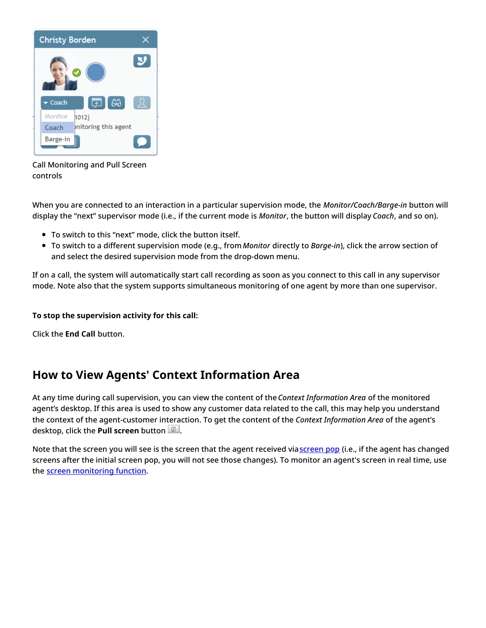

Call Monitoring and Pull Screen controls

When you are connected to an interaction in a particular supervision mode, the *Monitor/Coach/Barge-in* button will display the "next" supervisor mode (i.e., if the current mode is *Monitor*, the button will display *Coach*, and so on).

- To switch to this "next" mode, click the button itself.
- To switch to a different supervision mode (e.g., from*Monitor* directly to *Barge-in*), click the arrow section of and select the desired supervision mode from the drop-down menu.

If on a call, the system will automatically start call recording as soon as you connect to this call in any supervisor mode. Note also that the system supports simultaneous monitoring of one agent by more than one supervisor.

### **To stop the supervision activity for this call:**

Click the **End Call** button.

# <span id="page-3-0"></span>**How to View Agents' Context Information Area**

At any time during call supervision, you can view the content of the *Context Information Area* of the monitored agent's desktop. If this area is used to show any customer data related to the call, this may help you understand the context of the agent-customer interaction. To get the content of the *Context Information Area* of the agent's desktop, click the **Pull screen** button .

Note that the [screen](https://help.brightpattern.com/5.8:Supervisor-guide/CallRecording/?action=html-localimages-export#topic_agent-guide.2Funderstandingscreen-pop) you will see is the screen that the agent received viascreen pop (i.e., if the agent has changed screens after the initial screen pop, you will not see those changes). To monitor an agent's screen in real time, use the screen [monitoring](https://help.brightpattern.com/5.8:Supervisor-guide/CallRecording/?action=html-localimages-export#topic_supervisor-guide.2Fagentscreenmonitoring) function.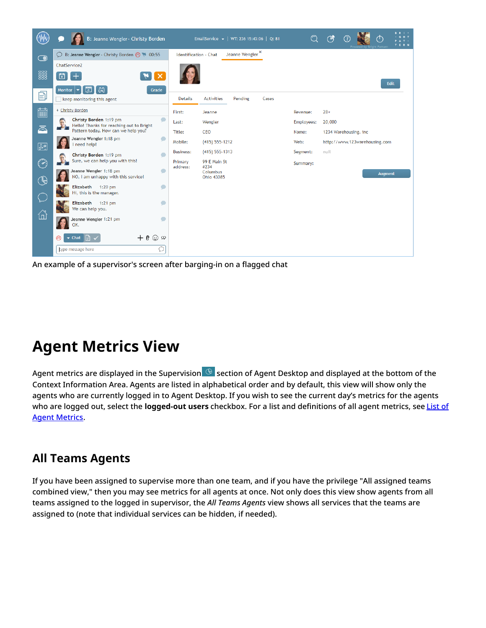

An example of a supervisor's screen after barging-in on a flagged chat

# <span id="page-4-0"></span>**Agent Metrics View**

Agent metrics are displayed in the Supervision  $\bigcirc$  section of Agent Desktop and displayed at the bottom of the Context Information Area. Agents are listed in alphabetical order and by default, this view will show only the agents who are currently logged in to Agent Desktop. If you wish to see the current day's metrics for the agents who are logged out, select the **[logged-out](https://help.brightpattern.com/5.8:Supervisor-guide/CallRecording/?action=html-localimages-export#topic_supervisor-guide.2Flistofagentmetrics) users** checkbox. For a list and definitions of all agent metrics, see List of Agent Metrics.

# <span id="page-4-1"></span>**All Teams Agents**

If you have been assigned to supervise more than one team, and if you have the privilege "All assigned teams combined view," then you may see metrics for all agents at once. Not only does this view show agents from all teams assigned to the logged in supervisor, the *All Teams Agents* view shows all services that the teams are assigned to (note that individual services can be hidden, if needed).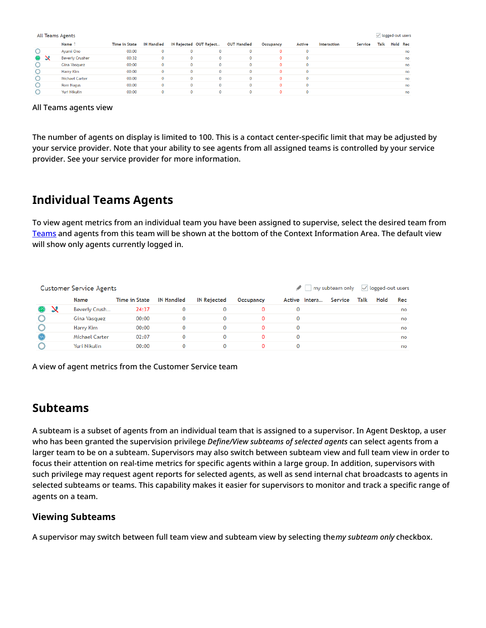| All Teams Agents |                        |                      |                   |              |                        |                    |           |              |             |         |      |          | $\sqrt{\phantom{a}}$ logged-out users |  |  |  |
|------------------|------------------------|----------------------|-------------------|--------------|------------------------|--------------------|-----------|--------------|-------------|---------|------|----------|---------------------------------------|--|--|--|
|                  | Name <sup>1</sup>      | <b>Time in State</b> | <b>IN Handled</b> |              | IN Rejected OUT Reject | <b>OUT Handled</b> | Occupancy | Active       | Interaction | Service | Talk | Hold Rec |                                       |  |  |  |
|                  | Ayumi Ono              | 00:00                |                   | $\mathbf{0}$ |                        |                    |           | $\mathbf{0}$ |             |         |      |          | no                                    |  |  |  |
|                  | <b>Beverly Crusher</b> | 00:32                |                   | $\mathbf{O}$ | 0                      | 0                  | 0.        | $\mathbf{0}$ |             |         |      |          | no                                    |  |  |  |
|                  | Gina Vasquez           | 00:00                |                   | $\Omega$     | $\Omega$               | $\Omega$           | 0         | $\mathbf{0}$ |             |         |      |          | no                                    |  |  |  |
|                  | Harry Kim              | 00:00                |                   | $\Omega$     | 0                      | 0                  | 0         | $\mathbf 0$  |             |         |      |          | no                                    |  |  |  |
|                  | <b>Michael Carter</b>  | 00:00                |                   | 0            | 0                      | Ω.                 | 0.        | $\mathbf{0}$ |             |         |      |          | no                                    |  |  |  |
|                  | <b>Rom Nagus</b>       | 00:00                |                   | $\Omega$     | $\Omega$               | n                  | 0         | $\mathbf{0}$ |             |         |      |          | no                                    |  |  |  |
|                  | Yuri Nikulin           | 00:00                |                   |              |                        |                    |           | $\mathbf 0$  |             |         |      |          | no                                    |  |  |  |

#### All Teams agents view

The number of agents on display is limited to 100. This is a contact center-specific limit that may be adjusted by your service provider. Note that your ability to see agents from all assigned teams is controlled by your service provider. See your service provider for more information.

## <span id="page-5-0"></span>**Individual Teams Agents**

To view agent metrics from an individual team you have been assigned to supervise, select the desired team from [Teams](https://help.brightpattern.com/5.8:Supervisor-guide/CallRecording/?action=html-localimages-export#topic_supervisor-guide.2Fteammetricsview) and agents from this team will be shown at the bottom of the Context Information Area. The default view will show only agents currently logged in.

|            | <b>Customer Service Agents</b> |                      |                   | $\sqrt{}$ logged-out users<br>my subteam only |           |   |               |         |      |      |     |
|------------|--------------------------------|----------------------|-------------------|-----------------------------------------------|-----------|---|---------------|---------|------|------|-----|
|            | Name                           | <b>Time in State</b> | <b>IN Handled</b> | <b>IN Rejected</b>                            | Occupancy |   | Active Intera | Service | Talk | Hold | Rec |
|            | Beverly Crush                  | 24:37                |                   |                                               |           |   |               |         |      |      | no  |
|            | Gina Vasquez                   | 00:00                | 0                 | 0                                             |           | 0 |               |         |      |      | no  |
|            | Harry Kim                      | 00:00                | 0                 | 0                                             | 0         | 0 |               |         |      |      | no  |
| $\bf \Phi$ | Michael Carter                 | 02:07                | 0                 |                                               | n         | 0 |               |         |      |      | no  |
|            | Yuri Nikulin                   | 00:00                |                   |                                               | 0         | 0 |               |         |      |      | no  |

A view of agent metrics from the Customer Service team

## <span id="page-5-1"></span>**Subteams**

A subteam is a subset of agents from an individual team that is assigned to a supervisor. In Agent Desktop, a user who has been granted the supervision privilege *Define/View subteams of selected agents* can select agents from a larger team to be on a subteam. Supervisors may also switch between subteam view and full team view in order to focus their attention on real-time metrics for specific agents within a large group. In addition, supervisors with such privilege may request agent reports for selected agents, as well as send internal chat broadcasts to agents in selected subteams or teams. This capability makes it easier for supervisors to monitor and track a specific range of agents on a team.

### <span id="page-5-2"></span>**Viewing Subteams**

A supervisor may switch between full team view and subteam view by selecting the*my subteam only* checkbox.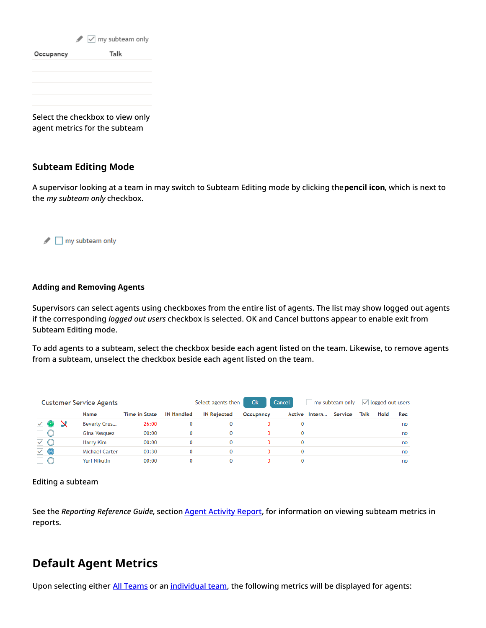$\blacktriangleright$   $\triangleright$  my subteam only Talk

Select the checkbox to view only agent metrics for the subteam

### <span id="page-6-0"></span>**Subteam Editing Mode**

A supervisor looking at a team in may switch to Subteam Editing mode by clicking the**pencil icon**, which is next to the *my subteam only* checkbox.

my subteam only

### <span id="page-6-1"></span>**Adding and Removing Agents**

Supervisors can select agents using checkboxes from the entire list of agents. The list may show logged out agents if the corresponding *logged out users* checkbox is selected. OK and Cancel buttons appear to enable exit from Subteam Editing mode.

To add agents to a subteam, select the checkbox beside each agent listed on the team. Likewise, to remove agents from a subteam, unselect the checkbox beside each agent listed on the team.

|                             | <b>Customer Service Agents</b> |                      |                   | Select agents then | Ok        | Cancel | my subteam only |         | $\sqrt{}$ logged-out users |      |     |
|-----------------------------|--------------------------------|----------------------|-------------------|--------------------|-----------|--------|-----------------|---------|----------------------------|------|-----|
|                             | Name                           | <b>Time in State</b> | <b>IN Handled</b> | <b>IN Rejected</b> | Occupancy |        | Active Intera   | Service | Talk                       | Hold | Rec |
| $\checkmark$ $\circledcirc$ | Beverly Crus                   | 26:00                | 0                 |                    | 0         |        |                 |         |                            |      | no  |
|                             | Gina Vasquez                   | 00:00                | 0                 | 0                  | 0         | 0      |                 |         |                            |      | no  |
| $\vee$ 0                    | Harry Kim                      | 00:00                | 0                 | 0                  | 0         |        |                 |         |                            |      | no  |
| $\checkmark$ 0              | <b>Michael Carter</b>          | 03:30                | 0                 | 0                  | 0         |        |                 |         |                            |      | no  |
|                             | Yuri Nikulin                   | 00:00                | 0                 | 0                  | 0         |        |                 |         |                            |      | no  |

#### Editing a subteam

See the *Reporting Reference Guide*, section **Agent [Activity](https://help.brightpattern.com/5.8:Supervisor-guide/CallRecording/?action=html-localimages-export#topic_reporting-reference-guide.2Fagentactivityreport) Report**, for information on viewing subteam metrics in reports.

## <span id="page-6-2"></span>**Default Agent Metrics**

Upon selecting either All [Teams](https://help.brightpattern.com/5.8:Supervisor-guide/CallRecording/?action=html-localimages-export#All_Teams_Agents) or an [individual](https://help.brightpattern.com/5.8:Supervisor-guide/CallRecording/?action=html-localimages-export#Individual_Teams_Agents) team, the following metrics will be displayed for agents: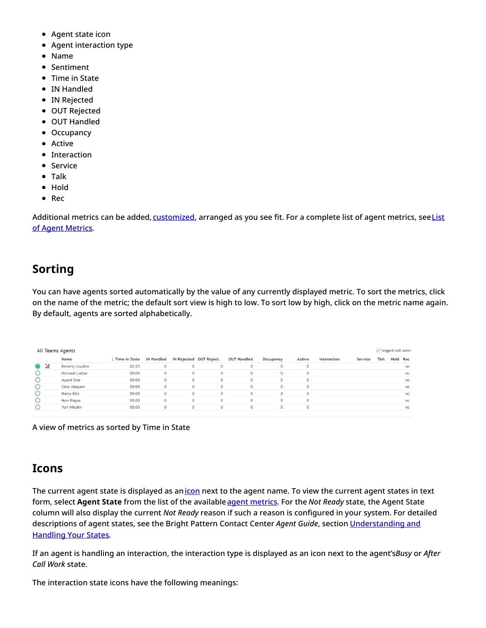- Agent state icon
- Agent interaction type
- Name
- Sentiment
- Time in State
- IN Handled
- IN Rejected
- OUT Rejected
- OUT Handled
- Occupancy
- Active
- Interaction
- Service
- Talk
- Hold
- Rec

Additional metrics can be added, [customize](https://help.brightpattern.com/5.8:Supervisor-guide/CallRecording/?action=html-localimages-export#topic_supervisor-guide.2Fcustomizationofmetricviews)[d,](https://help.brightpattern.com/5.8:Supervisor-guide/CallRecording/?action=html-localimages-export#topic_supervisor-guide.2Flistofagentmetrics) arranged as you see fit. For a complete list of agent metrics, seeList of Agent Metrics.

# <span id="page-7-0"></span>**Sorting**

You can have agents sorted automatically by the value of any currently displayed metric. To sort the metrics, click on the name of the metric; the default sort view is high to low. To sort low by high, click on the metric name again. By default, agents are sorted alphabetically.

| $\sqrt{}$ logged-out users<br>All Teams Agents |                        |               |                   |          |                        |                    |           |              |             |         |      |          |  |
|------------------------------------------------|------------------------|---------------|-------------------|----------|------------------------|--------------------|-----------|--------------|-------------|---------|------|----------|--|
|                                                | Name                   | Time in State | <b>IN Handled</b> |          | IN Rejected OUT Reject | <b>OUT Handled</b> | Occupancy | Active       | Interaction | Service | Talk | Hold Rec |  |
| 69 X                                           | <b>Beverly Crusher</b> | 02:25         | 0                 | 0        | $\mathbf{0}$           |                    | 0         | $\mathbf{0}$ |             |         |      | no       |  |
|                                                | <b>Michael Carter</b>  | 00:00         | 0                 | 0        | $\mathbf{0}$           | 0                  | 0         | $\mathbf{0}$ |             |         |      | no       |  |
|                                                | Ayumi Ono              | 00:00         | $\Omega$          | 0        | $\mathbf{0}$           | $\Omega$           | 0         | $\mathbf 0$  |             |         |      | no       |  |
| $\circ$                                        | Gina Vasquez           | 00:00         | $\Omega$          | $\Omega$ | $\mathbf{0}$           |                    | 0         | $\mathbf 0$  |             |         |      | no       |  |
| $\circ$                                        | Harry Kim              | 00:00         | 0.                |          | $\mathbf{0}$           |                    |           | $\mathbf{0}$ |             |         |      | no       |  |
|                                                | <b>Rom Nagus</b>       | 00:00         | o                 | 0        | $\mathbf{0}$           | n                  | O.        | $\mathbf 0$  |             |         |      | no       |  |
|                                                | Yuri Nikulin           | 00:00         | $\Omega$          | 0        | $\mathbf{0}$           | $\Omega$           | 0         | $\mathbf 0$  |             |         |      | no       |  |
|                                                |                        |               |                   |          |                        |                    |           |              |             |         |      |          |  |

A view of metrics as sorted by Time in State

# <span id="page-7-1"></span>**Icons**

The current agent state is displayed as an*[icon](https://help.brightpattern.com/5.8:Supervisor-guide/CallRecording/?action=html-localimages-export#topic_agent-guide.2Fhowtointerpretyourcurrentstateinformation)* next to the agent name. To view the current agent states in text form, select **Agent State** from the list of the availableagent [metrics](https://help.brightpattern.com/5.8:Supervisor-guide/CallRecording/?action=html-localimages-export#topic_supervisor-guide.2Flistofagentmetrics). For the *Not Ready* state, the Agent State column will also display the current *Not Ready* reason if such a reason is configured in your system. For detailed descriptions of agent states, see the Bright Pattern Contact Center *Agent Guide*, section [Understanding](https://help.brightpattern.com/5.8:Supervisor-guide/CallRecording/?action=html-localimages-export#topic_agent-guide.2Fhowtointerpretyourcurrentstateinformation) and Handling Your States.

If an agent is handling an interaction, the interaction type is displayed as an icon next to the agent's*Busy* or *After Call Work* state.

The interaction state icons have the following meanings: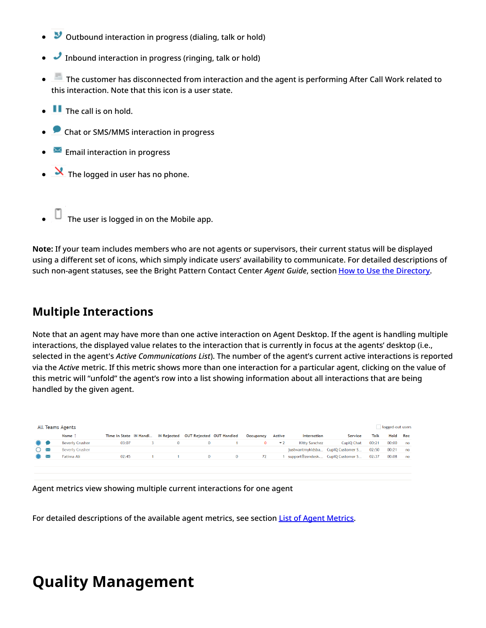- $\bullet$  Outbound interaction in progress (dialing, talk or hold)
- Inbound interaction in progress (ringing, talk or hold)
- The customer has disconnected from interaction and the agent is performing After Call Work related to this interaction. Note that this icon is a user state.
- $\bullet$   $\blacksquare$  The call is on hold.
- **Chat or SMS/MMS interaction in progress**
- $\mathbb{R}$  Email interaction in progress
- $\bullet$   $\mathbf{\mathbf{\times}}$  The logged in user has no phone.
- $\Box$  The user is logged in on the Mobile app.

**Note:** If your team includes members who are not agents or supervisors, their current status will be displayed using a different set of icons, which simply indicate users' availability to communicate. For detailed descriptions of such non-agent statuses, see the Bright Pattern Contact Center *Agent Guide*, section How to Use the [Directory](https://help.brightpattern.com/5.8:Supervisor-guide/CallRecording/?action=html-localimages-export#topic_agent-guide.2Fhowtousethedirectory).

## <span id="page-8-0"></span>**Multiple Interactions**

Note that an agent may have more than one active interaction on Agent Desktop. If the agent is handling multiple interactions, the displayed value relates to the interaction that is currently in focus at the agents' desktop (i.e., selected in the agent's *Active Communications List*). The number of the agent's current active interactions is reported via the *Active* metric. If this metric shows more than one interaction for a particular agent, clicking on the value of this metric will "unfold" the agent's row into a list showing information about all interactions that are being handled by the given agent.

| All Teams Agents  |  |                        |                        |  |             |                                        |              |            |        |               |                                   |       |       | logged-out users |  |  |
|-------------------|--|------------------------|------------------------|--|-------------|----------------------------------------|--------------|------------|--------|---------------|-----------------------------------|-------|-------|------------------|--|--|
|                   |  | Name 1                 | Time in State IN Handl |  |             | IN Rejected  OUT Rejected  OUT Handled |              | Occupancy  | Active | Interaction   | Service                           | Talk  | Hold  | Rec              |  |  |
|                   |  | <b>Beverly Crusher</b> | 03:07                  |  | $\mathbf 0$ | $\Omega$                               |              | $^{\circ}$ | $-2$   | Kitty Sanchez | CupIQ Chat                        | 00:21 | 00:00 | no               |  |  |
| $O \times$        |  | <b>Beverly Crusher</b> |                        |  |             |                                        |              |            |        |               | justwantmykidsba CupIQ Customer S | 02:50 | 00:21 | no               |  |  |
| $\circ$ $\approx$ |  | Fatima Ali             | 02:45                  |  |             | $\Omega$                               | $\mathbf{0}$ | 72         |        |               | support@zendesk CupIQ Customer S  | 02:37 | 00:08 | no               |  |  |
|                   |  |                        |                        |  |             |                                        |              |            |        |               |                                   |       |       |                  |  |  |
|                   |  |                        |                        |  |             |                                        |              |            |        |               |                                   |       |       |                  |  |  |

Agent metrics view showing multiple current interactions for one agent

For detailed descriptions of the available agent metrics, see section List of Agent [Metrics](https://help.brightpattern.com/5.8:Supervisor-guide/CallRecording/?action=html-localimages-export#topic_supervisor-guide.2Flistofagentmetrics).

# <span id="page-8-1"></span>**Quality Management**